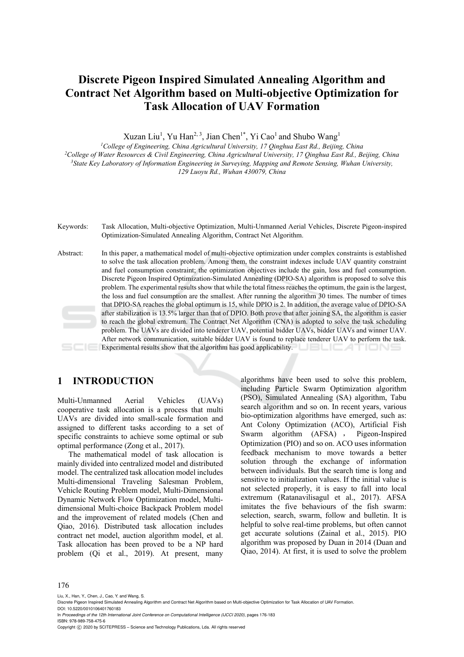# **Discrete Pigeon Inspired Simulated Annealing Algorithm and Contract Net Algorithm based on Multi-objective Optimization for Task Allocation of UAV Formation**

Xuzan Liu<sup>1</sup>, Yu Han<sup>2, 3</sup>, Jian Chen<sup>1\*</sup>, Yi Cao<sup>1</sup> and Shubo Wang<sup>1</sup>

*1College of Engineering, China Agricultural University, 17 Qinghua East Rd., Beijing, China 2College of Water Resources & Civil Engineering, China Agricultural University, 17 Qinghua East Rd., Beijing, China 3 State Key Laboratory of Information Engineering in Surveying, Mapping and Remote Sensing, Wuhan University, 129 Luoyu Rd., Wuhan 430079, China* 

Keywords: Task Allocation, Multi-objective Optimization, Multi-Unmanned Aerial Vehicles, Discrete Pigeon-inspired Optimization-Simulated Annealing Algorithm, Contract Net Algorithm.

Abstract: In this paper, a mathematical model of multi-objective optimization under complex constraints is established to solve the task allocation problem. Among them, the constraint indexes include UAV quantity constraint and fuel consumption constraint; the optimization objectives include the gain, loss and fuel consumption. Discrete Pigeon Inspired Optimization-Simulated Annealing (DPIO-SA) algorithm is proposed to solve this problem. The experimental results show that while the total fitness reaches the optimum, the gain is the largest, the loss and fuel consumption are the smallest. After running the algorithm 30 times. The number of times that DPIO-SA reaches the global optimum is 15, while DPIO is 2. In addition, the average value of DPIO-SA after stabilization is 13.5% larger than that of DPIO. Both prove that after joining SA, the algorithm is easier to reach the global extremum. The Contract Net Algorithm (CNA) is adopted to solve the task scheduling problem. The UAVs are divided into tenderer UAV, potential bidder UAVs, bidder UAVs and winner UAV. After network communication, suitable bidder UAV is found to replace tenderer UAV to perform the task. Experimental results show that the algorithm has good applicability. **EXAMPLE AND LEA** 

### **1 INTRODUCTION**

Multi-Unmanned Aerial Vehicles (UAVs) cooperative task allocation is a process that multi UAVs are divided into small-scale formation and assigned to different tasks according to a set of specific constraints to achieve some optimal or sub optimal performance (Zong et al., 2017).

The mathematical model of task allocation is mainly divided into centralized model and distributed model. The centralized task allocation model includes Multi-dimensional Traveling Salesman Problem, Vehicle Routing Problem model, Multi-Dimensional Dynamic Network Flow Optimization model, Multidimensional Multi-choice Backpack Problem model and the improvement of related models (Chen and Qiao, 2016). Distributed task allocation includes contract net model, auction algorithm model, et al. Task allocation has been proved to be a NP hard problem (Qi et al., 2019). At present, many

algorithms have been used to solve this problem, including Particle Swarm Optimization algorithm (PSO), Simulated Annealing (SA) algorithm, Tabu search algorithm and so on. In recent years, various bio-optimization algorithms have emerged, such as: Ant Colony Optimization (ACO), Artificial Fish Swarm algorithm (AFSA), Pigeon-Inspired Optimization (PIO) and so on. ACO uses information feedback mechanism to move towards a better solution through the exchange of information between individuals. But the search time is long and sensitive to initialization values. If the initial value is not selected properly, it is easy to fall into local extremum (Ratanavilisagul et al., 2017). AFSA imitates the five behaviours of the fish swarm: selection, search, swarm, follow and bulletin. It is helpful to solve real-time problems, but often cannot get accurate solutions (Zainal et al., 2015). PIO algorithm was proposed by Duan in 2014 (Duan and Qiao, 2014). At first, it is used to solve the problem

#### 176

Liu, X., Han, Y., Chen, J., Cao, Y. and Wang, S.

DOI: 10.5220/0010106401760183 In *Proceedings of the 12th International Joint Conference on Computational Intelligence (IJCCI 2020)*, pages 176-183

ISBN: 978-989-758-475-6 Copyright  $\odot$  2020 by SCITEPRESS - Science and Technology Publications, Lda. All rights reserved

Discrete Pigeon Inspired Simulated Annealing Algorithm and Contract Net Algorithm based on Multi-objective Optimization for Task Allocation of UAV Formation.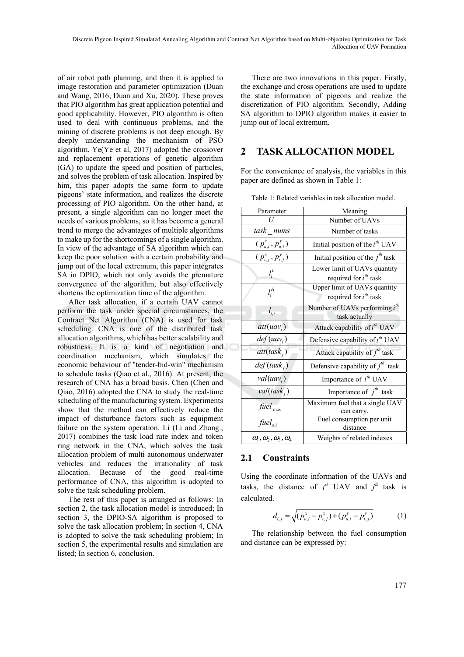of air robot path planning, and then it is applied to image restoration and parameter optimization (Duan and Wang, 2016; Duan and Xu, 2020). These proves that PIO algorithm has great application potential and good applicability. However, PIO algorithm is often used to deal with continuous problems, and the mining of discrete problems is not deep enough. By deeply understanding the mechanism of PSO algorithm, Ye(Ye et al, 2017) adopted the crossover and replacement operations of genetic algorithm (GA) to update the speed and position of particles, and solves the problem of task allocation. Inspired by him, this paper adopts the same form to update pigeons' state information, and realizes the discrete processing of PIO algorithm. On the other hand, at present, a single algorithm can no longer meet the needs of various problems, so it has become a general trend to merge the advantages of multiple algorithms to make up for the shortcomings of a single algorithm. In view of the advantage of SA algorithm which can keep the poor solution with a certain probability and jump out of the local extremum, this paper integrates SA in DPIO, which not only avoids the premature convergence of the algorithm, but also effectively shortens the optimization time of the algorithm.

After task allocation, if a certain UAV cannot perform the task under special circumstances, the Contract Net Algorithm (CNA) is used for task scheduling. CNA is one of the distributed task allocation algorithms, which has better scalability and robustness. It is a kind of negotiation and coordination mechanism, which simulates the economic behaviour of "tender-bid-win" mechanism to schedule tasks (Qiao et al., 2016). At present, the research of CNA has a broad basis. Chen (Chen and Qiao, 2016) adopted the CNA to study the real-time scheduling of the manufacturing system. Experiments show that the method can effectively reduce the impact of disturbance factors such as equipment failure on the system operation. Li (Li and Zhang., 2017) combines the task load rate index and token ring network in the CNA, which solves the task allocation problem of multi autonomous underwater vehicles and reduces the irrationality of task allocation. Because of the good real-time performance of CNA, this algorithm is adopted to solve the task scheduling problem.

The rest of this paper is arranged as follows: In section 2, the task allocation model is introduced; In section 3, the DPIO-SA algorithm is proposed to solve the task allocation problem; In section 4, CNA is adopted to solve the task scheduling problem; In section 5, the experimental results and simulation are listed; In section 6, conclusion.

There are two innovations in this paper. Firstly, the exchange and cross operations are used to update the state information of pigeons and realize the discretization of PIO algorithm. Secondly, Adding SA algorithm to DPIO algorithm makes it easier to jump out of local extremum.

### **2 TASK ALLOCATION MODEL**

For the convenience of analysis, the variables in this paper are defined as shown in Table 1:

| Parameter                | Meaning                                                    |  |
|--------------------------|------------------------------------------------------------|--|
|                          | Number of UAVs                                             |  |
| task nums                | Number of tasks                                            |  |
| $(p_{u,i}^x, p_{u,i}^y)$ | Initial position of the $i^{th}$ UAV                       |  |
| $(p_{t,j}^x, p_{t,j}^y)$ | Initial position of the $jth$ task                         |  |
| $l_i^L$                  | Lower limit of UAVs quantity<br>required for $i^{th}$ task |  |
| $l_i^H$                  | Upper limit of UAVs quantity<br>required for $i^{th}$ task |  |
| $l_{t,i}$                | Number of UAVs performing $i^{th}$<br>task actually        |  |
| $att(uav_i)$             | Attack capability of i <sup>th</sup> UAV                   |  |
| $def( uav_i)$            | Defensive capability of $i^{th}$ UAV                       |  |
| $att(task_i)$            | Attack capability of $j^{th}$ task                         |  |
| def(task <sub>i</sub> )  | Defensive capability of $j^{th}$ task                      |  |
| $val(uav_i)$             | Importance of $i^{th}$ UAV                                 |  |
| $val(task_{i})$          | Importance of $j^{th}$ task                                |  |
| $fuel$ <sub>max</sub>    | Maximum fuel that a single UAV<br>can carry.               |  |
| $fuel_{u,i}$             | Fuel consumption per unit<br>distance                      |  |
| $(a_1, a_2, a_3, a_4)$   | Weights of related indexes                                 |  |

Table 1: Related variables in task allocation model.

#### **2.1 Constraints**

Using the coordinate information of the UAVs and tasks, the distance of  $i^{th}$  UAV and  $j^{th}$  task is calculated.

$$
d_{i,j} = \sqrt{(p_{u,i}^x - p_{t,j}^x) + (p_{u,i}^y - p_{t,j}^y)}
$$
 (1)

The relationship between the fuel consumption and distance can be expressed by: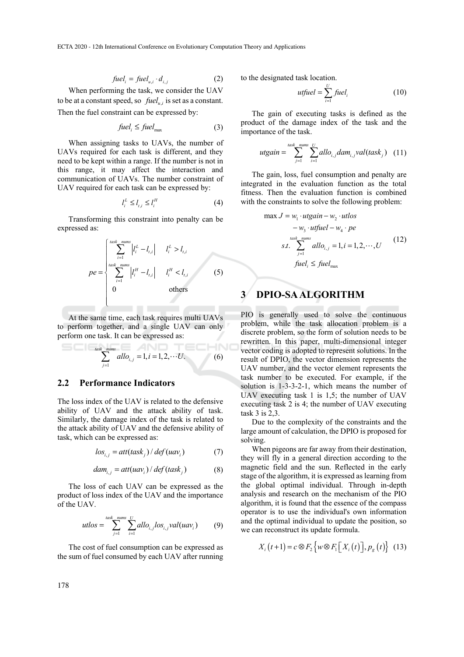ECTA 2020 - 12th International Conference on Evolutionary Computation Theory and Applications

$$
fuel_i = fuel_{u,i} \cdot d_{i,j} \tag{2}
$$

When performing the task, we consider the UAV to be at a constant speed, so  $fuel_{i,j}$  is set as a constant. Then the fuel constraint can be expressed by:

$$
fuel_i \le fuel_{\text{max}} \tag{3}
$$

When assigning tasks to UAVs, the number of UAVs required for each task is different, and they need to be kept within a range. If the number is not in this range, it may affect the interaction and communication of UAVs. The number constraint of UAV required for each task can be expressed by:

$$
l_i^L \le l_{t,i} \le l_i^H \tag{4}
$$

Transforming this constraint into penalty can be expressed as:

$$
pe = \begin{cases} \sum_{i=1}^{\text{task\_minus}} |l_i^L - l_{t,i}| & l_i^L > l_{t,i} \\ \sum_{i=1}^{\text{task\_minus}} |l_i^H - l_{t,i}| & l_i^H < l_{t,i} \\ 0 & \text{others} \end{cases}
$$
 (5)

At the same time, each task requires multi UAVs to perform together, and a single UAV can only perform one task. It can be expressed as:

$$
\sum_{j=1}^{\text{task\_nums}} \text{allo}_{i,j} = 1, i = 1, 2, \cdots U. \tag{6}
$$

#### **2.2 Performance Indicators**

The loss index of the UAV is related to the defensive ability of UAV and the attack ability of task. Similarly, the damage index of the task is related to the attack ability of UAV and the defensive ability of task, which can be expressed as:

$$
los_{i,j} = att(task_j) / def(uav_i)
$$
 (7)

$$
dam_{i,j} = att(uav_i) / def(task_j)
$$
 (8)

The loss of each UAV can be expressed as the product of loss index of the UAV and the importance of the UAV.

$$
utlos = \sum_{j=1}^{task\_mums} \sum_{i=1}^{U} allo_{i,j} los_{i,j} val(uav_i)
$$
 (9)

The cost of fuel consumption can be expressed as the sum of fuel consumed by each UAV after running to the designated task location.

$$
utfuel = \sum_{i=1}^{U} fuel_i \tag{10}
$$

The gain of executing tasks is defined as the product of the damage index of the task and the importance of the task.

$$
utgain = \sum_{j=1}^{task\_mums} \sum_{i=1}^{U} allo_{i,j}dam_{i,j}val(task_j) \quad (11)
$$

The gain, loss, fuel consumption and penalty are integrated in the evaluation function as the total fitness. Then the evaluation function is combined with the constraints to solve the following problem:

$$
\max J = w_1 \cdot utgain - w_2 \cdot utlos
$$
  
\n
$$
- w_3 \cdot utfuel - w_4 \cdot pe
$$
  
\n
$$
s.t. \sum_{j=1}^{task\_minus} allo_{i,j} = 1, i = 1, 2, \cdots, U
$$
  
\n
$$
fuel_i \le fuel_{\max}
$$
\n(12)

### **3 DPIO-SA ALGORITHM**

PIO is generally used to solve the continuous problem, while the task allocation problem is a discrete problem, so the form of solution needs to be rewritten. In this paper, multi-dimensional integer vector coding is adopted to represent solutions. In the result of DPIO, the vector dimension represents the UAV number, and the vector element represents the task number to be executed. For example, if the solution is 1-3-3-2-1, which means the number of UAV executing task 1 is 1,5; the number of UAV executing task 2 is 4; the number of UAV executing task 3 is 2,3.

Due to the complexity of the constraints and the large amount of calculation, the DPIO is proposed for solving.

When pigeons are far away from their destination, they will fly in a general direction according to the magnetic field and the sun. Reflected in the early stage of the algorithm, it is expressed as learning from the global optimal individual. Through in-depth analysis and research on the mechanism of the PIO algorithm, it is found that the essence of the compass operator is to use the individual's own information and the optimal individual to update the position, so we can reconstruct its update formula.

$$
X_{i}(t+1) = c \otimes F_{2} \{ w \otimes F_{1}[X_{i}(t)], p_{g}(t) \} (13)
$$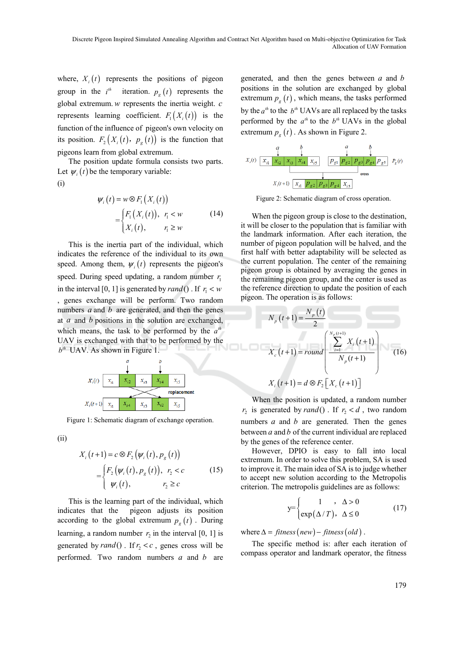where,  $X_i(t)$  represents the positions of pigeon group in the  $i^{th}$  iteration.  $p_g(t)$  represents the global extremum. *w* represents the inertia weight. *c* represents learning coefficient.  $F_1(X_i(t))$  is the function of the influence of pigeon's own velocity on its position.  $F_2(X_i(t), p_{\sigma}(t))$  is the function that pigeons learn from global extremum.

The position update formula consists two parts. Let  $\psi_i(t)$  be the temporary variable:

$$
\psi_i(t) = w \otimes F_1(X_i(t))
$$
  
= 
$$
\begin{cases} F_1(X_i(t)), & r_i < w \\ X_i(t), & r_i \ge w \end{cases}
$$
 (14)

This is the inertia part of the individual, which indicates the reference of the individual to its own speed. Among them,  $\psi_i(t)$  represents the pigeon's speed. During speed updating, a random number  $r_1$ in the interval [0, 1] is generated by  $rand()$ . If  $r_1 < w$ , genes exchange will be perform. Two random numbers *a* and *b* are generated, and then the genes at *a* and *b* positions in the solution are exchanged, which means, the task to be performed by the  $a^{th}$ UAV is exchanged with that to be performed by the  $b<sup>th</sup>$  UAV. As shown in Figure 1.



Figure 1: Schematic diagram of exchange operation.

(ii)

(i)

$$
X_i(t+1) = c \otimes F_2(\psi_i(t), p_g(t))
$$
  
= 
$$
\begin{cases} F_2(\psi_i(t), p_g(t)), & r_2 < c \\ \psi_i(t), & r_2 \ge c \end{cases}
$$
 (15)

This is the learning part of the individual, which indicates that the pigeon adjusts its position according to the global extremum  $p_g(t)$ . During learning, a random number  $r_2$  in the interval [0, 1] is generated by  $rand()$ . If  $r_2 < c$ , genes cross will be performed. Two random numbers *a* and *b* are

generated, and then the genes between *a* and *b* positions in the solution are exchanged by global extremum  $p_e(t)$ , which means, the tasks performed by the  $a^{th}$  to the  $b^{th}$  UAVs are all replaced by the tasks performed by the  $a^{th}$  to the  $b^{th}$  UAVs in the global extremum  $p_g(t)$ . As shown in Figure 2.



Figure 2: Schematic diagram of cross operation.

When the pigeon group is close to the destination, it will be closer to the population that is familiar with the landmark information. After each iteration, the number of pigeon population will be halved, and the first half with better adaptability will be selected as the current population. The center of the remaining pigeon group is obtained by averaging the genes in the remaining pigeon group, and the center is used as the reference direction to update the position of each pigeon. The operation is as follows:

$$
N_p(t+1) = \frac{N_p(t)}{2}
$$
  

$$
X_c(t+1) = round \left(\frac{\sum_{i=1}^{N_p(t+1)} X_i(t+1)}{N_p(t+1)}\right)
$$
 (16)  

$$
X_i(t+1) = d \otimes F_2[X_c(t+1)]
$$

When the position is updated, a random number  $r_2$  is generated by *rand*(). If  $r_2 < d$ , two random numbers *a* and *b* are generated. Then the genes between *a* and *b* of the current individual are replaced by the genes of the reference center.

However, DPIO is easy to fall into local extremum. In order to solve this problem, SA is used to improve it. The main idea of SA is to judge whether to accept new solution according to the Metropolis criterion. The metropolis guidelines are as follows:

$$
y = \begin{cases} 1 & , \Delta > 0 \\ exp(\Delta/T), & \Delta \le 0 \end{cases}
$$
 (17)

where  $\Delta = \text{fitness}(new) - \text{fitness}(old)$ .

The specific method is: after each iteration of compass operator and landmark operator, the fitness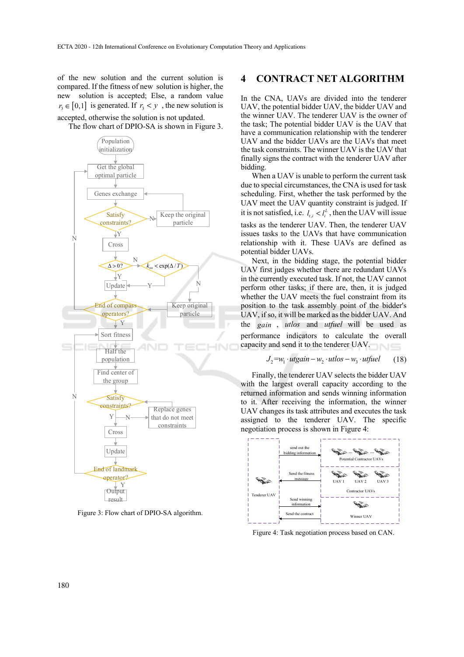of the new solution and the current solution is compared. If the fitness of new solution is higher, the new solution is accepted; Else, a random value  $r_3 \in [0,1]$  is generated. If  $r_3 < y$ , the new solution is accepted, otherwise the solution is not updated.

The flow chart of DPIO-SA is shown in Figure 3.



Figure 3: Flow chart of DPIO-SA algorithm.

### **4 CONTRACT NET ALGORITHM**

In the CNA, UAVs are divided into the tenderer UAV, the potential bidder UAV, the bidder UAV and the winner UAV. The tenderer UAV is the owner of the task; The potential bidder UAV is the UAV that have a communication relationship with the tenderer UAV and the bidder UAVs are the UAVs that meet the task constraints. The winner UAV is the UAV that finally signs the contract with the tenderer UAV after bidding.

When a UAV is unable to perform the current task due to special circumstances, the CNA is used for task scheduling. First, whether the task performed by the UAV meet the UAV quantity constraint is judged. If it is not satisfied, i.e.  $l_{t,i} < l_i^L$ , then the UAV will issue tasks as the tenderer UAV. Then, the tenderer UAV issues tasks to the UAVs that have communication relationship with it. These UAVs are defined as potential bidder UAVs.

Next, in the bidding stage, the potential bidder UAV first judges whether there are redundant UAVs in the currently executed task. If not, the UAV cannot perform other tasks; if there are, then, it is judged whether the UAV meets the fuel constraint from its position to the task assembly point of the bidder's UAV, if so, it will be marked as the bidder UAV. And the *gain* , *utlos* and *utfuel* will be used as performance indicators to calculate the overall capacity and send it to the tenderer UAV.

$$
J_2 = w_1 \cdot utgain - w_2 \cdot utlos - w_3 \cdot utfuel \qquad (18)
$$

Finally, the tenderer UAV selects the bidder UAV with the largest overall capacity according to the returned information and sends winning information to it. After receiving the information, the winner UAV changes its task attributes and executes the task assigned to the tenderer UAV. The specific negotiation process is shown in Figure 4:



Figure 4: Task negotiation process based on CAN.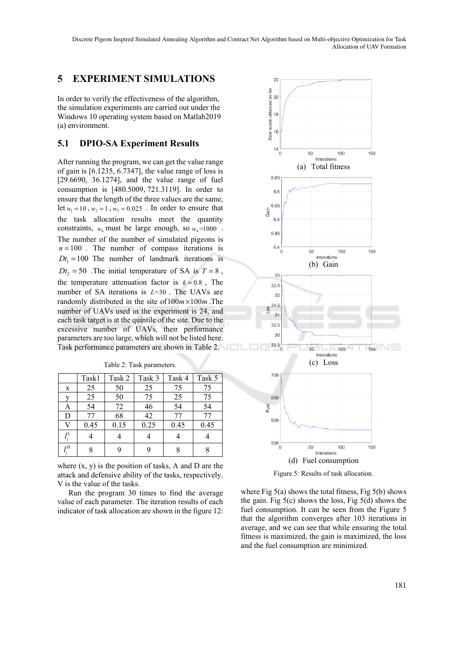### **5 EXPERIMENT SIMULATIONS**

In order to verify the effectiveness of the algorithm, the simulation experiments are carried out under the Windows 10 operating system based on Matlab2019 (a) environment.

### **5.1 DPIO-SA Experiment Results**

After running the program, we can get the value range of gain is [6.1235, 6.7347], the value range of loss is [29.6690, 36.1274], and the value range of fuel consumption is [480.5009,721.3119]. In order to ensure that the length of the three values are the same, let  $w_1 = 10$ ,  $w_2 = 1$ ,  $w_3 = 0.025$ . In order to ensure that the task allocation results meet the quantity constraints,  $w_4$  must be large enough, so  $w_4$ =1000. The number of the number of simulated pigeons is  $n = 100$ . The number of compass iterations is  $Dt_1 = 100$  The number of landmark iterations is  $Dt_2 = 50$ . The initial temperature of SA is  $T = 8$ , the temperature attenuation factor is  $k = 0.8$ , The number of SA iterations is *L*=30 . The UAVs are randomly distributed in the site of  $100m \times 100m$ . The number of UAVs used in the experiment is 24, and each task target is at the quintile of the site. Due to the excessive number of UAVs, their performance parameters are too large, which will not be listed here. Task performance parameters are shown in Table 2.

Table 2: Task parameters.

|             | Task1 | Task 2 | Task 3 | Task 4 | Task 5 |
|-------------|-------|--------|--------|--------|--------|
| $\mathbf x$ | 25    | 50     | 25     | 75     | 75     |
| v           | 25    | 50     | 75     | 25     | 75     |
| A           | 54    | 72     | 46     | 54     | 54     |
| D           | 77    | 68     | 42     | 77     | 77     |
| V           | 0.45  | 0.15   | 0.25   | 0.45   | 0.45   |
| $l_i^L$     |       |        |        |        |        |
| 1Н          | 8     |        | 9      |        |        |

where  $(x, y)$  is the position of tasks, A and D are the attack and defensive ability of the tasks, respectively. V is the value of the tasks.

Run the program 30 times to find the average value of each parameter. The iteration results of each indicator of task allocation are shown in the figure 12:



Figure 5: Results of task allocation.

where Fig  $5(a)$  shows the total fitness, Fig  $5(b)$  shows the gain. Fig  $5(c)$  shows the loss, Fig  $5(d)$  shows the fuel consumption. It can be seen from the Figure 5 that the algorithm converges after 103 iterations in average, and we can see that while ensuring the total fitness is maximized, the gain is maximized, the loss and the fuel consumption are minimized.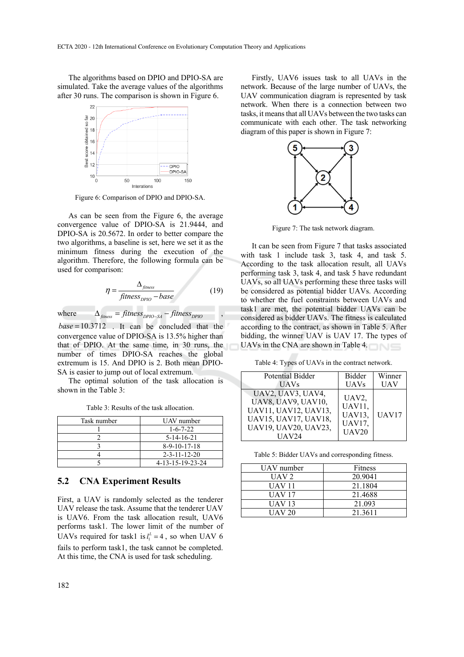The algorithms based on DPIO and DPIO-SA are simulated. Take the average values of the algorithms after 30 runs. The comparison is shown in Figure 6.



Figure 6: Comparison of DPIO and DPIO-SA.

As can be seen from the Figure 6, the average convergence value of DPIO-SA is 21.9444, and DPIO-SA is 20.5672. In order to better compare the two algorithms, a baseline is set, here we set it as the minimum fitness during the execution of the algorithm. Therefore, the following formula can be used for comparison:

$$
\eta = \frac{\Delta_{\text{fitness}}}{\text{fitness}_{\text{DPIO}} - \text{base}} \tag{19}
$$

where  $\Delta_{\text{finess}} = \text{fitness}_{\text{DPIO-SA}} - \text{fitness}_{\text{DPIO}}$ 

*base* =10.3712 . It can be concluded that the convergence value of DPIO-SA is 13.5% higher than that of DPIO. At the same time, in 30 runs, the number of times DPIO-SA reaches the global extremum is 15. And DPIO is 2. Both mean DPIO-SA is easier to jump out of local extremum.

The optimal solution of the task allocation is shown in the Table 3:

Table 3: Results of the task allocation.

| Task number | UAV number             |
|-------------|------------------------|
|             | $1 - 6 - 7 - 22$       |
|             | $5-14-16-21$           |
|             | $8-9-10-17-18$         |
|             | $2 - 3 - 11 - 12 - 20$ |
|             | 4-13-15-19-23-24       |

#### **5.2 CNA Experiment Results**

First, a UAV is randomly selected as the tenderer UAV release the task. Assume that the tenderer UAV is UAV6. From the task allocation result, UAV6 performs task1. The lower limit of the number of UAVs required for task1 is  $l_1^L = 4$ , so when UAV 6 fails to perform task1, the task cannot be completed. At this time, the CNA is used for task scheduling.

Firstly, UAV6 issues task to all UAVs in the network. Because of the large number of UAVs, the UAV communication diagram is represented by task network. When there is a connection between two tasks, it means that all UAVs between the two tasks can communicate with each other. The task networking diagram of this paper is shown in Figure 7:



Figure 7: The task network diagram.

It can be seen from Figure 7 that tasks associated with task 1 include task 3, task 4, and task 5. According to the task allocation result, all UAVs performing task 3, task 4, and task 5 have redundant UAVs, so all UAVs performing these three tasks will be considered as potential bidder UAVs. According to whether the fuel constraints between UAVs and task1 are met, the potential bidder UAVs can be considered as bidder UAVs. The fitness is calculated according to the contract, as shown in Table 5. After bidding, the winner UAV is UAV 17. The types of UAVs in the CNA are shown in Table 4.

Table 4: Types of UAVs in the contract network.

| Potential Bidder                                                                                                                | <b>Bidder</b>                                                           | Winner     |
|---------------------------------------------------------------------------------------------------------------------------------|-------------------------------------------------------------------------|------------|
| <b>UAVs</b>                                                                                                                     | <b>UAVs</b>                                                             | <b>UAV</b> |
| UAV2, UAV3, UAV4,<br><b>UAV8, UAV9, UAV10,</b><br>UAV11, UAV12, UAV13,<br>UAV15, UAV17, UAV18,<br>UAV19, UAV20, UAV23,<br>UAV24 | UAV <sub>2</sub> .<br>UAV11,<br><b>UAV13.</b><br><b>UAV17.</b><br>UAV20 | UAV17      |

Table 5: Bidder UAVs and corresponding fitness.

| UAV number | <b>Fitness</b> |
|------------|----------------|
| UAV 2.     | 20.9041        |
| UAV 11     | 21.1804        |
| UAV 17     | 21.4688        |
| UAV 13     | 21.093         |
| UAV 20     | 21.3611        |